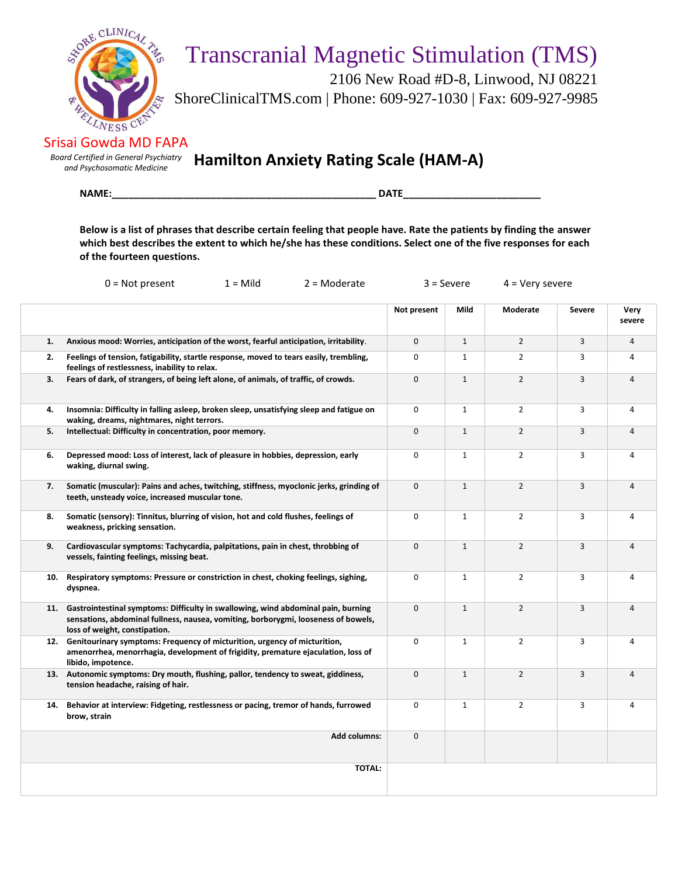

## Transcranial Magnetic Stimulation (TMS)

 2106 New Road #D-8, Linwood, NJ 08221 ShoreClinicalTMS.com | Phone: 609-927-1030 | Fax: 609-927-9985

Srisai Gowda MD FAPA

*Board Certified in General Psychiatry*

*and Psychosomatic Medicine* **Hamilton Anxiety Rating Scale (HAM-A)**

**NAME:\_\_\_\_\_\_\_\_\_\_\_\_\_\_\_\_\_\_\_\_\_\_\_\_\_\_\_\_\_\_\_\_\_\_\_\_\_\_\_\_\_\_\_\_\_\_\_\_ DATE\_\_\_\_\_\_\_\_\_\_\_\_\_\_\_\_\_\_\_\_\_\_\_\_\_**

**Below is a list of phrases that describe certain feeling that people have. Rate the patients by finding the answer which best describes the extent to which he/she has these conditions. Select one of the five responses for each of the fourteen questions.**

|     | $0 = Not present$<br>$1 =$ Mild<br>$2 =$ Moderate                                                                                                                                                            | $3 =$ Severe<br>$4 = Very severe$ |              |                |                |                         |
|-----|--------------------------------------------------------------------------------------------------------------------------------------------------------------------------------------------------------------|-----------------------------------|--------------|----------------|----------------|-------------------------|
|     |                                                                                                                                                                                                              | Not present                       | Mild         | Moderate       | Severe         | Very<br>severe          |
| 1.  | Anxious mood: Worries, anticipation of the worst, fearful anticipation, irritability.                                                                                                                        | $\mathbf{0}$                      | $\mathbf{1}$ | $\overline{2}$ | 3              | $\overline{4}$          |
| 2.  | Feelings of tension, fatigability, startle response, moved to tears easily, trembling,<br>feelings of restlessness, inability to relax.                                                                      | 0                                 | $\mathbf{1}$ | $\overline{2}$ | 3              | 4                       |
| 3.  | Fears of dark, of strangers, of being left alone, of animals, of traffic, of crowds.                                                                                                                         | 0                                 | $\mathbf{1}$ | $\overline{2}$ | $\overline{3}$ | $\overline{4}$          |
| 4.  | Insomnia: Difficulty in falling asleep, broken sleep, unsatisfying sleep and fatigue on<br>waking, dreams, nightmares, night terrors.                                                                        | 0                                 | $\mathbf{1}$ | $\overline{2}$ | 3              | $\overline{4}$          |
| 5.  | Intellectual: Difficulty in concentration, poor memory.                                                                                                                                                      | 0                                 | $\mathbf{1}$ | $\overline{2}$ | 3              | $\overline{\mathbf{4}}$ |
| 6.  | Depressed mood: Loss of interest, lack of pleasure in hobbies, depression, early<br>waking, diurnal swing.                                                                                                   | 0                                 | $\mathbf{1}$ | $\overline{2}$ | 3              | 4                       |
| 7.  | Somatic (muscular): Pains and aches, twitching, stiffness, myoclonic jerks, grinding of<br>teeth, unsteady voice, increased muscular tone.                                                                   | 0                                 | $\mathbf{1}$ | $\overline{2}$ | 3              | $\overline{4}$          |
| 8.  | Somatic (sensory): Tinnitus, blurring of vision, hot and cold flushes, feelings of<br>weakness, pricking sensation.                                                                                          | 0                                 | $\mathbf{1}$ | $\overline{2}$ | 3              | 4                       |
| 9.  | Cardiovascular symptoms: Tachycardia, palpitations, pain in chest, throbbing of<br>vessels, fainting feelings, missing beat.                                                                                 | $\mathbf 0$                       | $\mathbf{1}$ | $\overline{2}$ | 3              | $\overline{4}$          |
| 10. | Respiratory symptoms: Pressure or constriction in chest, choking feelings, sighing,<br>dyspnea.                                                                                                              | 0                                 | $\mathbf{1}$ | $\overline{2}$ | 3              | $\overline{4}$          |
|     | 11. Gastrointestinal symptoms: Difficulty in swallowing, wind abdominal pain, burning<br>sensations, abdominal fullness, nausea, vomiting, borborygmi, looseness of bowels,<br>loss of weight, constipation. | 0                                 | $\mathbf{1}$ | $\overline{2}$ | $\overline{3}$ | 4                       |
|     | 12. Genitourinary symptoms: Frequency of micturition, urgency of micturition,<br>amenorrhea, menorrhagia, development of frigidity, premature ejaculation, loss of<br>libido, impotence.                     | 0                                 | $\mathbf{1}$ | $\overline{2}$ | 3              | $\overline{4}$          |
|     | 13. Autonomic symptoms: Dry mouth, flushing, pallor, tendency to sweat, giddiness,<br>tension headache, raising of hair.                                                                                     | $\mathbf 0$                       | $\mathbf{1}$ | $\overline{2}$ | 3              | $\overline{4}$          |
| 14. | Behavior at interview: Fidgeting, restlessness or pacing, tremor of hands, furrowed<br>brow, strain                                                                                                          | 0                                 | $\mathbf{1}$ | $\overline{2}$ | 3              | 4                       |
|     | Add columns:                                                                                                                                                                                                 | 0                                 |              |                |                |                         |
|     | <b>TOTAL:</b>                                                                                                                                                                                                |                                   |              |                |                |                         |